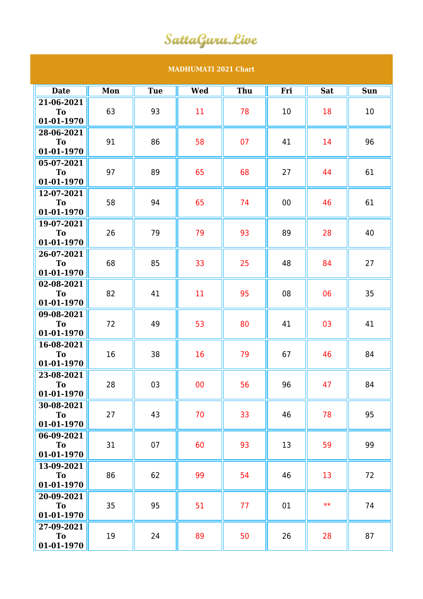## SattaGuru.Live

## **MADHUMATI 2021 Chart**

| <b>Date</b>                  | Mon | <b>Tue</b> | <b>Wed</b> | Thu | Fri | <b>Sat</b> | <b>Sun</b> |
|------------------------------|-----|------------|------------|-----|-----|------------|------------|
| 21-06-2021<br>To             | 63  | 93         | 11         | 78  | 10  | 18         | 10         |
| 01-01-1970                   |     |            |            |     |     |            |            |
| 28-06-2021<br>T <sub>o</sub> | 91  | 86         | 58         | 07  | 41  | 14         | 96         |
| 01-01-1970                   |     |            |            |     |     |            |            |
| 05-07-2021<br><b>To</b>      | 97  | 89         | 65         | 68  | 27  | 44         | 61         |
| 01-01-1970<br>12-07-2021     |     |            |            |     |     |            |            |
| To                           | 58  | 94         | 65         | 74  | 00  | 46         | 61         |
| 01-01-1970<br>19-07-2021     |     |            |            |     |     |            |            |
| To<br>01-01-1970             | 26  | 79         | 79         | 93  | 89  | 28         | 40         |
| 26-07-2021                   |     |            |            |     |     |            |            |
| To<br>01-01-1970             | 68  | 85         | 33         | 25  | 48  | 84         | 27         |
| 02-08-2021                   | 82  | 41         | 11         | 95  | 08  | 06         | 35         |
| To<br>01-01-1970             |     |            |            |     |     |            |            |
| 09-08-2021<br><b>To</b>      | 72  | 49         | 53         | 80  | 41  | 03         | 41         |
| 01-01-1970                   |     |            |            |     |     |            |            |
| 16-08-2021<br>To             | 16  | 38         | 16         | 79  | 67  | 46         | 84         |
| 01-01-1970<br>23-08-2021     |     |            |            |     |     |            |            |
| T <sub>o</sub>               | 28  | 03         | 00         | 56  | 96  | 47         | 84         |
| 01-01-1970<br>30-08-2021     |     |            |            |     |     |            |            |
| To<br>01-01-1970             | 27  | 43         | 70         | 33  | 46  | 78         | 95         |
| 06-09-2021                   |     |            |            |     |     |            |            |
| <b>To</b><br>01-01-1970      | 31  | 07         | 60         | 93  | 13  | 59         | 99         |
| 13-09-2021                   | 86  | 62         | 99         | 54  | 46  | 13         | 72         |
| To<br>01-01-1970             |     |            |            |     |     |            |            |
| 20-09-2021<br>To             | 35  | 95         | 51         | 77  | 01  | $**$       | 74         |
| 01-01-1970                   |     |            |            |     |     |            |            |
| 27-09-2021<br>To             | 19  | 24         | 89         | 50  | 26  | 28         | 87         |
| 01-01-1970                   |     |            |            |     |     |            |            |